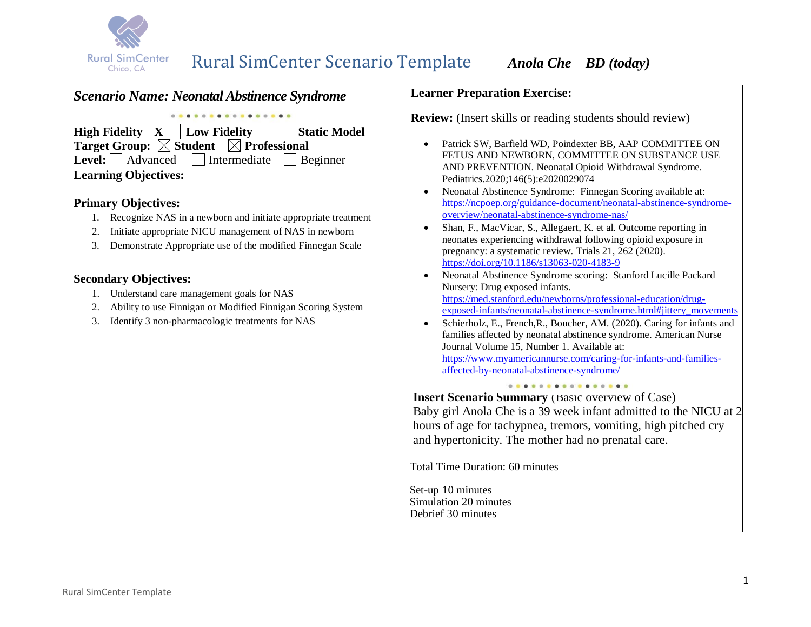

| <b>Scenario Name: Neonatal Abstinence Syndrome</b>                                                                                                                                                                                                                                                                                                                                                                                                                                                                                                                                                                                                                                       | <b>Learner Preparation Exercise:</b>                                                                                                                                                                                                                                                                                                                                                                                                                                                                                                                                                                                                                                                                                                                                                                                                                                                                                                                                                                                                                                                                                                                                                                                                                                                                                                                                                                 |  |
|------------------------------------------------------------------------------------------------------------------------------------------------------------------------------------------------------------------------------------------------------------------------------------------------------------------------------------------------------------------------------------------------------------------------------------------------------------------------------------------------------------------------------------------------------------------------------------------------------------------------------------------------------------------------------------------|------------------------------------------------------------------------------------------------------------------------------------------------------------------------------------------------------------------------------------------------------------------------------------------------------------------------------------------------------------------------------------------------------------------------------------------------------------------------------------------------------------------------------------------------------------------------------------------------------------------------------------------------------------------------------------------------------------------------------------------------------------------------------------------------------------------------------------------------------------------------------------------------------------------------------------------------------------------------------------------------------------------------------------------------------------------------------------------------------------------------------------------------------------------------------------------------------------------------------------------------------------------------------------------------------------------------------------------------------------------------------------------------------|--|
| <b>High Fidelity X</b><br><b>Static Model</b><br><b>Low Fidelity</b><br><b>Target Group:</b> $\boxtimes$ Student<br>$\boxtimes$ Professional<br><b>Level:</b> $\Box$ Advanced<br>Intermediate<br>Beginner<br><b>Learning Objectives:</b><br><b>Primary Objectives:</b><br>Recognize NAS in a newborn and initiate appropriate treatment<br>Initiate appropriate NICU management of NAS in newborn<br>2.<br>Demonstrate Appropriate use of the modified Finnegan Scale<br>3.<br><b>Secondary Objectives:</b><br>1. Understand care management goals for NAS<br>Ability to use Finnigan or Modified Finnigan Scoring System<br>2.<br>Identify 3 non-pharmacologic treatments for NAS<br>3. | <b>Review:</b> (Insert skills or reading students should review)<br>Patrick SW, Barfield WD, Poindexter BB, AAP COMMITTEE ON<br>$\bullet$<br>FETUS AND NEWBORN, COMMITTEE ON SUBSTANCE USE<br>AND PREVENTION. Neonatal Opioid Withdrawal Syndrome.<br>Pediatrics.2020;146(5):e2020029074<br>Neonatal Abstinence Syndrome: Finnegan Scoring available at:<br>$\bullet$<br>https://ncpoep.org/guidance-document/neonatal-abstinence-syndrome-<br>overview/neonatal-abstinence-syndrome-nas/<br>Shan, F., MacVicar, S., Allegaert, K. et al. Outcome reporting in<br>$\bullet$<br>neonates experiencing withdrawal following opioid exposure in<br>pregnancy: a systematic review. Trials 21, 262 (2020).<br>https://doi.org/10.1186/s13063-020-4183-9<br>Neonatal Abstinence Syndrome scoring: Stanford Lucille Packard<br>$\bullet$<br>Nursery: Drug exposed infants.<br>https://med.stanford.edu/newborns/professional-education/drug-<br>exposed-infants/neonatal-abstinence-syndrome.html#jittery_movements<br>Schierholz, E., French, R., Boucher, AM. (2020). Caring for infants and<br>$\bullet$<br>families affected by neonatal abstinence syndrome. American Nurse<br>Journal Volume 15, Number 1. Available at:<br>https://www.myamericannurse.com/caring-for-infants-and-families-<br>affected-by-neonatal-abstinence-syndrome/<br><b>Insert Scenario Summary</b> (Basic overview of Case) |  |
|                                                                                                                                                                                                                                                                                                                                                                                                                                                                                                                                                                                                                                                                                          | Baby girl Anola Che is a 39 week infant admitted to the NICU at 2<br>hours of age for tachypnea, tremors, vomiting, high pitched cry<br>and hypertonicity. The mother had no prenatal care.<br><b>Total Time Duration: 60 minutes</b><br>Set-up 10 minutes<br>Simulation 20 minutes<br>Debrief 30 minutes                                                                                                                                                                                                                                                                                                                                                                                                                                                                                                                                                                                                                                                                                                                                                                                                                                                                                                                                                                                                                                                                                            |  |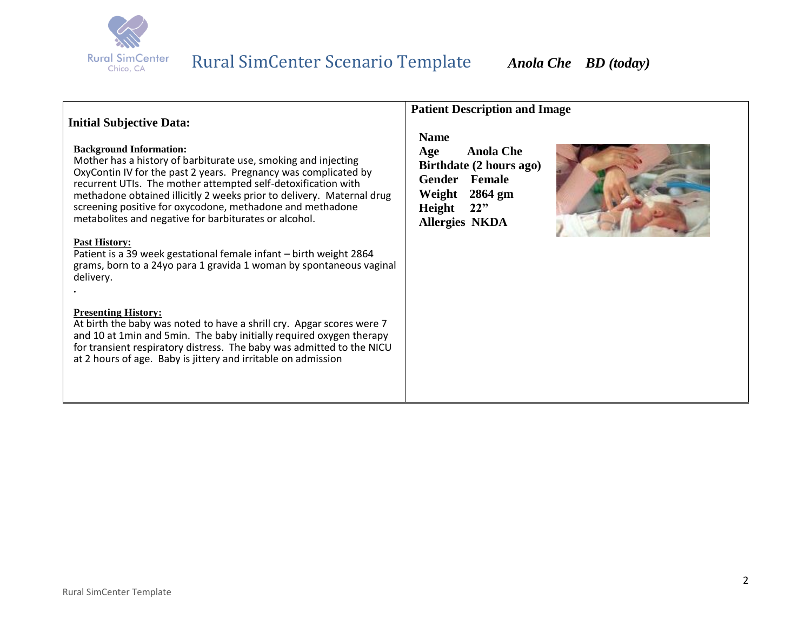

### **Initial Subjective Data:**

#### **Background Information:**

Mother has a history of barbiturate use, smoking and injecting OxyContin IV for the past 2 years. Pregnancy was complicated by recurrent UTIs. The mother attempted self-detoxification with methadone obtained illicitly 2 weeks prior to delivery. Maternal drug screening positive for oxycodone, methadone and methadone metabolites and negative for barbiturates or alcohol.

#### **Past History:**

**.**

Patient is a 39 week gestational female infant – birth weight 2864 grams, born to a 24yo para 1 gravida 1 woman by spontaneous vaginal delivery.

#### **Presenting History:**

At birth the baby was noted to have a shrill cry. Apgar scores were 7 and 10 at 1min and 5min. The baby initially required oxygen therapy for transient respiratory distress. The baby was admitted to the NICU at 2 hours of age. Baby is jittery and irritable on admission

### **Patient Description and Image**

### **Name**

**Age Anola Che Birthdate (2 hours ago) Gender Female Weight 2864 gm Height 22" Allergies NKDA**

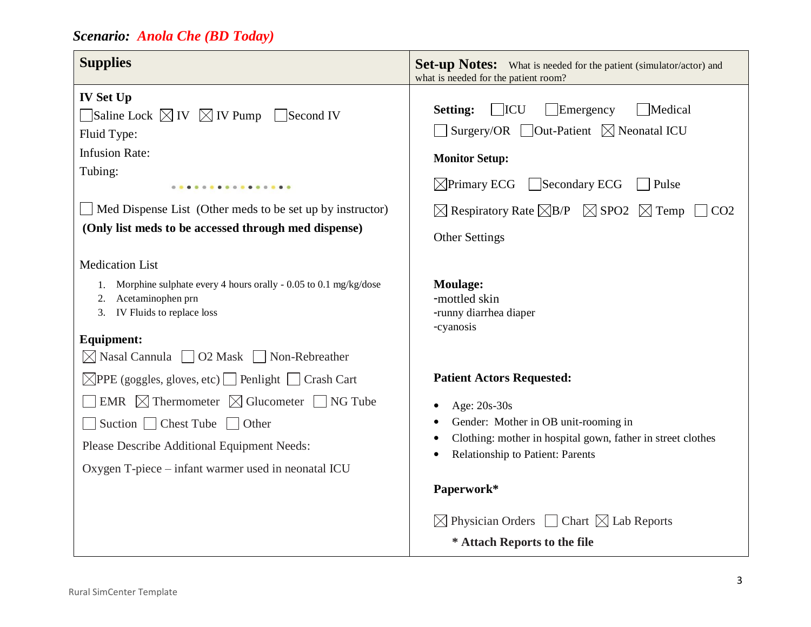| <b>Supplies</b>                                                                                                                                                                                                                                                                               | <b>Set-up Notes:</b> What is needed for the patient (simulator/actor) and<br>what is needed for the patient room?                                                                                                                                                                                                                                                             |  |
|-----------------------------------------------------------------------------------------------------------------------------------------------------------------------------------------------------------------------------------------------------------------------------------------------|-------------------------------------------------------------------------------------------------------------------------------------------------------------------------------------------------------------------------------------------------------------------------------------------------------------------------------------------------------------------------------|--|
| <b>IV Set Up</b><br>$\Box$ Saline Lock $\boxtimes$ IV $\boxtimes$ IV Pump $\Box$ Second IV<br>Fluid Type:<br><b>Infusion Rate:</b><br>Tubing:<br><br>$\Box$ Med Dispense List (Other meds to be set up by instructor)<br>(Only list meds to be accessed through med dispense)                 | $\Box$ Emergency<br><b>ICU</b><br>Medical<br><b>Setting:</b><br>Surgery/OR $\Box$ Out-Patient $\boxtimes$ Neonatal ICU<br><b>Monitor Setup:</b><br>$\sqrt{\frac{1}{2}}$ Primary ECG $\sqrt{\frac{1}{2}}$ Secondary ECG<br>Pulse<br>$\boxtimes$ Respiratory Rate $\boxtimes$ B/P $\boxtimes$ SPO2 $\boxtimes$ Temp<br>$\vert$ $\vert$ CO <sub>2</sub><br><b>Other Settings</b> |  |
| <b>Medication List</b><br>1. Morphine sulphate every 4 hours orally - 0.05 to 0.1 mg/kg/dose<br>2. Acetaminophen prn<br>3. IV Fluids to replace loss<br><b>Equipment:</b><br>$\boxtimes$ Nasal Cannula $\Box$ O2 Mask $\Box$ Non-Rebreather                                                   | <b>Moulage:</b><br>-mottled skin<br>-runny diarrhea diaper<br>-cyanosis                                                                                                                                                                                                                                                                                                       |  |
| $\boxtimes$ PPE (goggles, gloves, etc) Penlight Crash Cart<br><b>EMR</b> $\boxtimes$ Thermometer $\boxtimes$ Glucometer $\Box$ NG Tube<br>$\Box$ Suction $\Box$ Chest Tube $\Box$ Other<br>Please Describe Additional Equipment Needs:<br>Oxygen T-piece – infant warmer used in neonatal ICU | <b>Patient Actors Requested:</b><br>Age: 20s-30s<br>Gender: Mother in OB unit-rooming in<br>Clothing: mother in hospital gown, father in street clothes<br>Relationship to Patient: Parents<br>Paperwork*                                                                                                                                                                     |  |
|                                                                                                                                                                                                                                                                                               | $\boxtimes$ Physician Orders $\Box$ Chart $\boxtimes$ Lab Reports<br>* Attach Reports to the file                                                                                                                                                                                                                                                                             |  |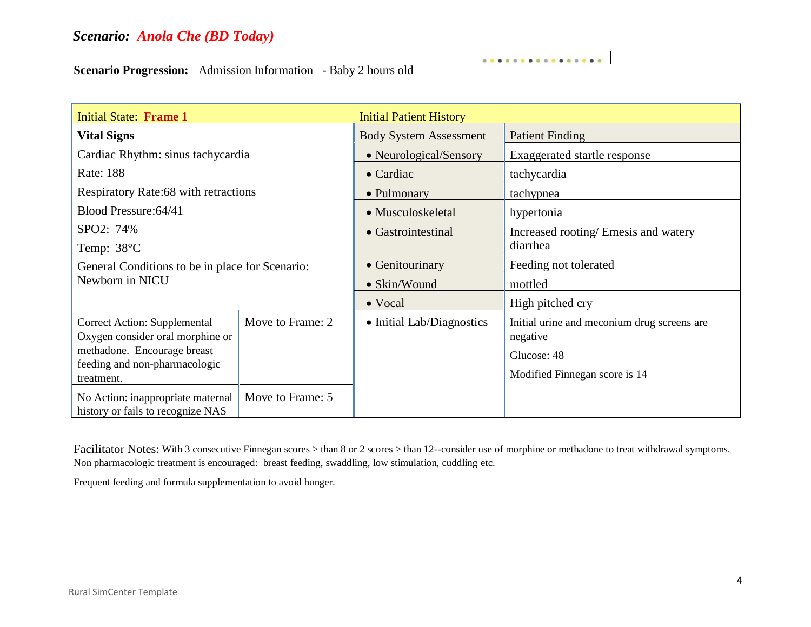**Scenario Progression:** Admission Information - Baby 2 hours old

| <b>Initial State: Frame 1</b>                                          |                  | <b>Initial Patient History</b> |                                                         |  |
|------------------------------------------------------------------------|------------------|--------------------------------|---------------------------------------------------------|--|
| <b>Vital Signs</b>                                                     |                  | <b>Body System Assessment</b>  | <b>Patient Finding</b>                                  |  |
| Cardiac Rhythm: sinus tachycardia                                      |                  | • Neurological/Sensory         | Exaggerated startle response                            |  |
| Rate: 188                                                              |                  | $\bullet$ Cardiac              | tachycardia                                             |  |
| Respiratory Rate:68 with retractions                                   |                  | • Pulmonary                    | tachypnea                                               |  |
| Blood Pressure: 64/41                                                  |                  | • Musculoskeletal              | hypertonia                                              |  |
| SPO2: 74%                                                              |                  | • Gastrointestinal             | Increased rooting/ Emesis and watery                    |  |
| Temp: 38°C                                                             |                  |                                | diarrhea                                                |  |
| General Conditions to be in place for Scenario:<br>Newborn in NICU     |                  | • Genitourinary                | Feeding not tolerated                                   |  |
|                                                                        |                  | • Skin/Wound                   | mottled                                                 |  |
|                                                                        |                  | • Vocal                        | High pitched cry                                        |  |
| Correct Action: Supplemental<br>Oxygen consider oral morphine or       | Move to Frame: 2 | • Initial Lab/Diagnostics      | Initial urine and meconium drug screens are<br>negative |  |
| methadone. Encourage breast                                            |                  |                                | Glucose: 48                                             |  |
| feeding and non-pharmacologic<br>treatment.                            |                  |                                | Modified Finnegan score is 14                           |  |
| No Action: inappropriate maternal<br>history or fails to recognize NAS | Move to Frame: 5 |                                |                                                         |  |

. . . . . . . . . . . . . . . .

Facilitator Notes: With 3 consecutive Finnegan scores > than 8 or 2 scores > than 12--consider use of morphine or methadone to treat withdrawal symptoms. Non pharmacologic treatment is encouraged: breast feeding, swaddling, low stimulation, cuddling etc.

Frequent feeding and formula supplementation to avoid hunger.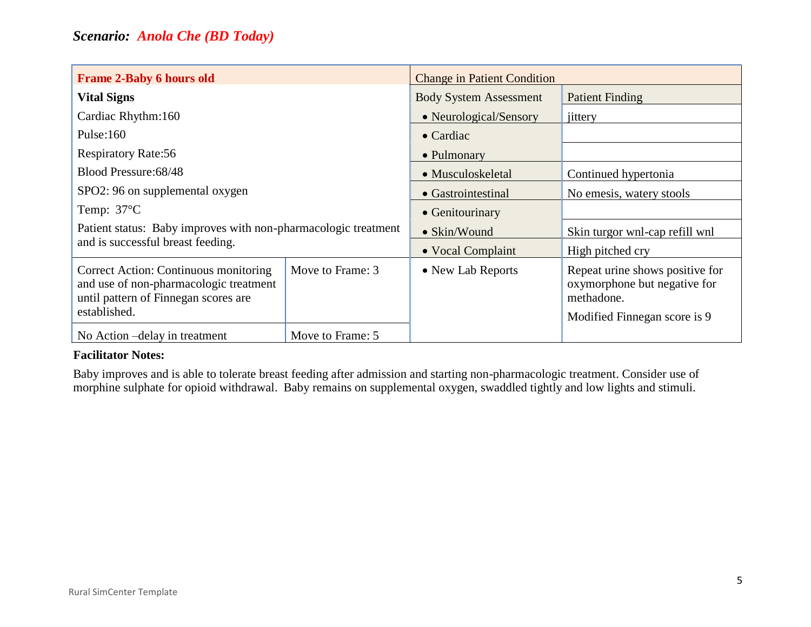| <b>Frame 2-Baby 6 hours old</b>                                                                                                         |                  | <b>Change in Patient Condition</b> |                                                                                                               |
|-----------------------------------------------------------------------------------------------------------------------------------------|------------------|------------------------------------|---------------------------------------------------------------------------------------------------------------|
| <b>Vital Signs</b>                                                                                                                      |                  | <b>Body System Assessment</b>      | <b>Patient Finding</b>                                                                                        |
| Cardiac Rhythm:160                                                                                                                      |                  | • Neurological/Sensory             | jittery                                                                                                       |
| Pulse: $160$                                                                                                                            |                  | $\bullet$ Cardiac                  |                                                                                                               |
| <b>Respiratory Rate:56</b>                                                                                                              |                  | • Pulmonary                        |                                                                                                               |
| Blood Pressure: 68/48                                                                                                                   |                  | • Musculoskeletal                  | Continued hypertonia                                                                                          |
| SPO2: 96 on supplemental oxygen                                                                                                         |                  | • Gastrointestinal                 | No emesis, watery stools                                                                                      |
| Temp: $37^{\circ}$ C                                                                                                                    |                  | • Genitourinary                    |                                                                                                               |
| Patient status: Baby improves with non-pharmacologic treatment<br>and is successful breast feeding.                                     |                  | • Skin/Wound                       | Skin turgor wnl-cap refill wnl                                                                                |
|                                                                                                                                         |                  | • Vocal Complaint                  | High pitched cry                                                                                              |
| Correct Action: Continuous monitoring<br>and use of non-pharmacologic treatment<br>until pattern of Finnegan scores are<br>established. | Move to Frame: 3 | • New Lab Reports                  | Repeat urine shows positive for<br>oxymorphone but negative for<br>methadone.<br>Modified Finnegan score is 9 |
| No Action – delay in treatment                                                                                                          | Move to Frame: 5 |                                    |                                                                                                               |

### **Facilitator Notes:**

Baby improves and is able to tolerate breast feeding after admission and starting non-pharmacologic treatment. Consider use of morphine sulphate for opioid withdrawal. Baby remains on supplemental oxygen, swaddled tightly and low lights and stimuli.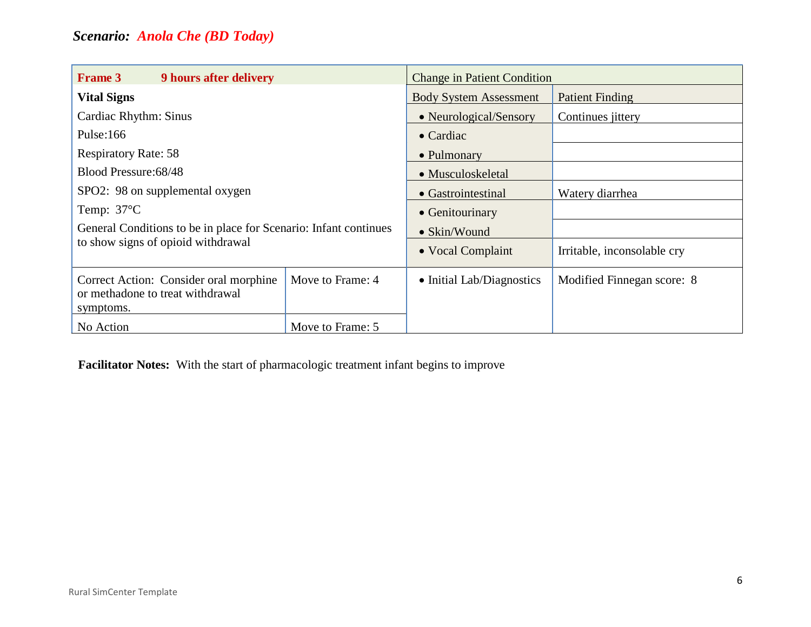| <b>Frame 3</b><br><b>9 hours after delivery</b>                                                        |                  | <b>Change in Patient Condition</b> |                             |
|--------------------------------------------------------------------------------------------------------|------------------|------------------------------------|-----------------------------|
| <b>Vital Signs</b>                                                                                     |                  | <b>Body System Assessment</b>      | <b>Patient Finding</b>      |
| Cardiac Rhythm: Sinus                                                                                  |                  | • Neurological/Sensory             | Continues <i>jittery</i>    |
| Pulse: $166$                                                                                           |                  | $\bullet$ Cardiac                  |                             |
| <b>Respiratory Rate: 58</b>                                                                            |                  | • Pulmonary                        |                             |
| Blood Pressure: 68/48                                                                                  |                  | • Musculoskeletal                  |                             |
| SPO2: 98 on supplemental oxygen                                                                        |                  | • Gastrointestinal                 | Watery diarrhea             |
| Temp: $37^{\circ}$ C                                                                                   |                  | • Genitourinary                    |                             |
| General Conditions to be in place for Scenario: Infant continues<br>to show signs of opioid withdrawal |                  | • Skin/Wound                       |                             |
|                                                                                                        |                  | • Vocal Complaint                  | Irritable, inconsolable cry |
| Correct Action: Consider oral morphine<br>or methadone to treat withdrawal<br>symptoms.                | Move to Frame: 4 | • Initial Lab/Diagnostics          | Modified Finnegan score: 8  |
| No Action                                                                                              | Move to Frame: 5 |                                    |                             |

**Facilitator Notes:** With the start of pharmacologic treatment infant begins to improve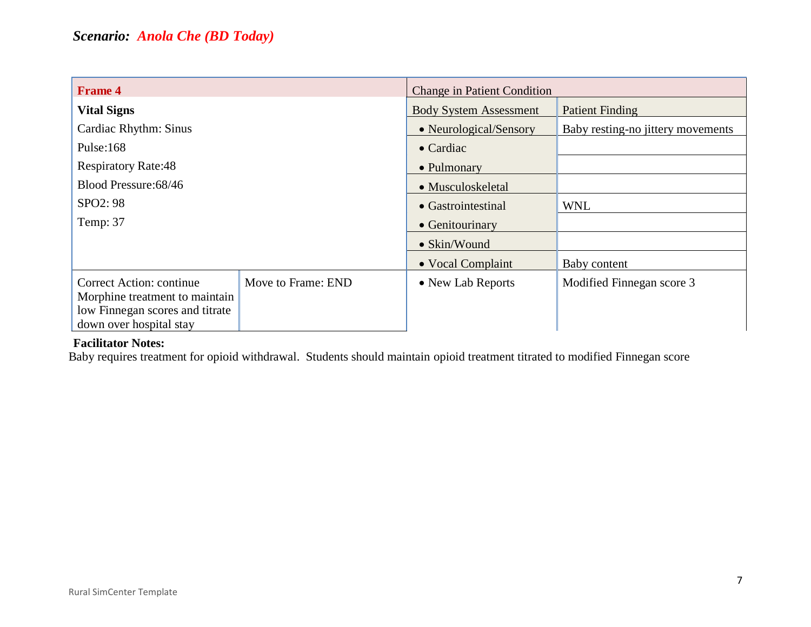| <b>Frame 4</b>                                             |                    | <b>Change in Patient Condition</b> |                                   |
|------------------------------------------------------------|--------------------|------------------------------------|-----------------------------------|
| <b>Vital Signs</b>                                         |                    | <b>Body System Assessment</b>      | <b>Patient Finding</b>            |
| Cardiac Rhythm: Sinus                                      |                    | • Neurological/Sensory             | Baby resting-no jittery movements |
| Pulse: $168$                                               |                    | $\bullet$ Cardiac                  |                                   |
| <b>Respiratory Rate:48</b>                                 |                    | • Pulmonary                        |                                   |
| Blood Pressure: 68/46                                      |                    | • Musculoskeletal                  |                                   |
| SPO <sub>2</sub> : 98                                      |                    | • Gastrointestinal                 | <b>WNL</b>                        |
| Temp: 37                                                   |                    | • Genitourinary                    |                                   |
|                                                            |                    | $\bullet$ Skin/Wound               |                                   |
|                                                            |                    | • Vocal Complaint                  | Baby content                      |
| Correct Action: continue                                   | Move to Frame: END | • New Lab Reports                  | Modified Finnegan score 3         |
| Morphine treatment to maintain                             |                    |                                    |                                   |
| low Finnegan scores and titrate<br>down over hospital stay |                    |                                    |                                   |

## **Facilitator Notes:**

Baby requires treatment for opioid withdrawal. Students should maintain opioid treatment titrated to modified Finnegan score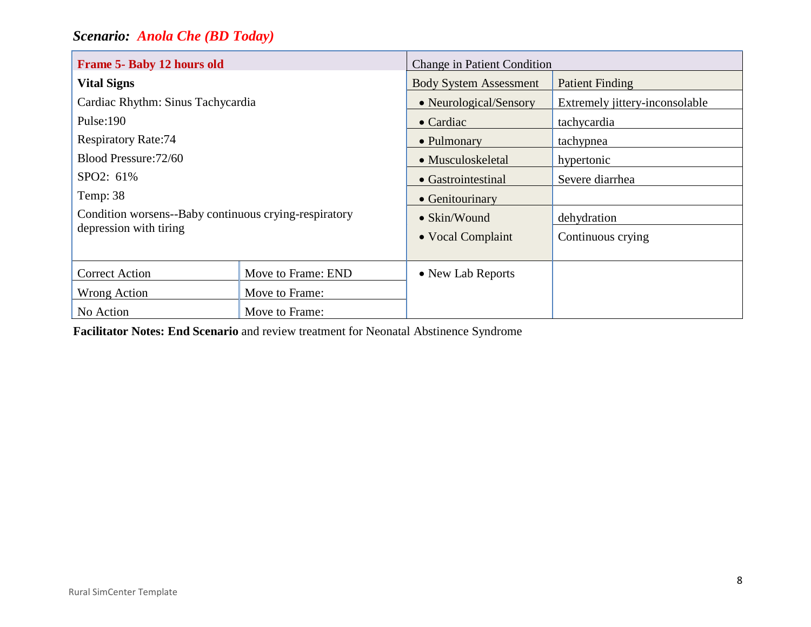| Frame 5- Baby 12 hours old                                                      |                    | <b>Change in Patient Condition</b> |                                |
|---------------------------------------------------------------------------------|--------------------|------------------------------------|--------------------------------|
| <b>Vital Signs</b>                                                              |                    | <b>Body System Assessment</b>      | <b>Patient Finding</b>         |
| Cardiac Rhythm: Sinus Tachycardia                                               |                    | • Neurological/Sensory             | Extremely jittery-inconsolable |
| Pulse: $190$                                                                    |                    | $\bullet$ Cardiac                  | tachycardia                    |
| <b>Respiratory Rate:74</b>                                                      |                    | • Pulmonary                        | tachypnea                      |
| Blood Pressure: 72/60                                                           |                    | • Musculoskeletal                  | hypertonic                     |
| SPO2: 61%                                                                       |                    | • Gastrointestinal                 | Severe diarrhea                |
| Temp: 38                                                                        |                    | • Genitourinary                    |                                |
| Condition worsens--Baby continuous crying-respiratory<br>depression with tiring |                    | • Skin/Wound                       | dehydration                    |
|                                                                                 |                    | • Vocal Complaint                  | Continuous crying              |
| <b>Correct Action</b>                                                           | Move to Frame: END | • New Lab Reports                  |                                |
| Wrong Action                                                                    | Move to Frame:     |                                    |                                |
| No Action<br>Move to Frame:                                                     |                    |                                    |                                |

**Facilitator Notes: End Scenario** and review treatment for Neonatal Abstinence Syndrome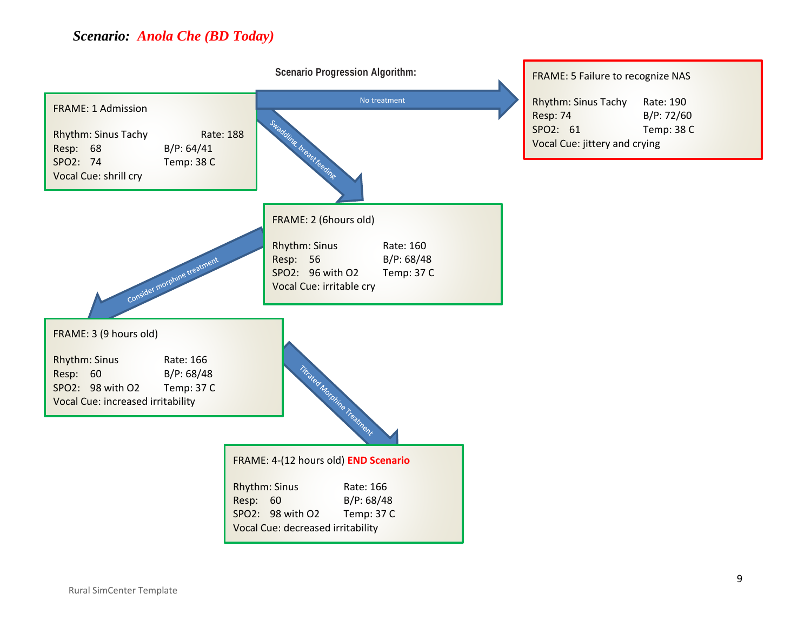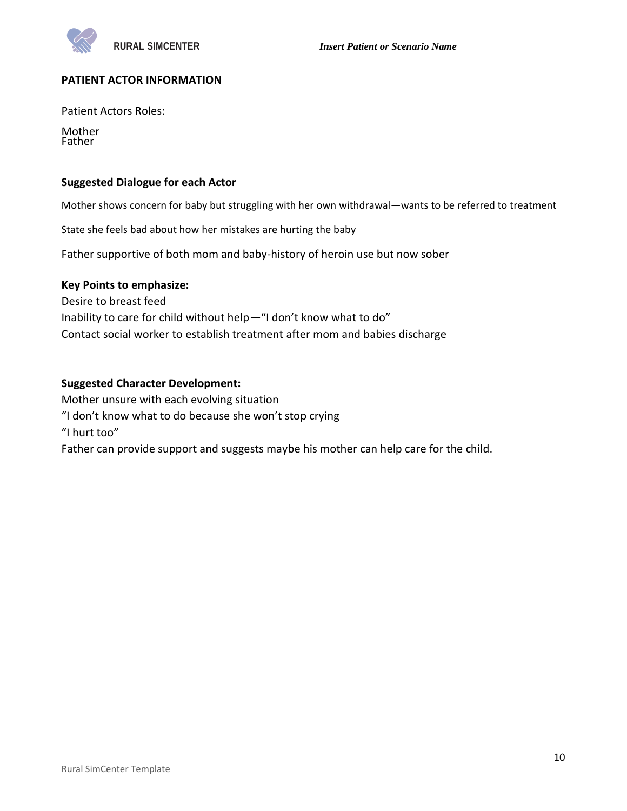### **PATIENT ACTOR INFORMATION**

Patient Actors Roles:

Mother Father

### **Suggested Dialogue for each Actor**

Mother shows concern for baby but struggling with her own withdrawal—wants to be referred to treatment

State she feels bad about how her mistakes are hurting the baby

Father supportive of both mom and baby-history of heroin use but now sober

### **Key Points to emphasize:**

Desire to breast feed Inability to care for child without help—"I don't know what to do" Contact social worker to establish treatment after mom and babies discharge

### **Suggested Character Development:**

Mother unsure with each evolving situation "I don't know what to do because she won't stop crying "I hurt too" Father can provide support and suggests maybe his mother can help care for the child.